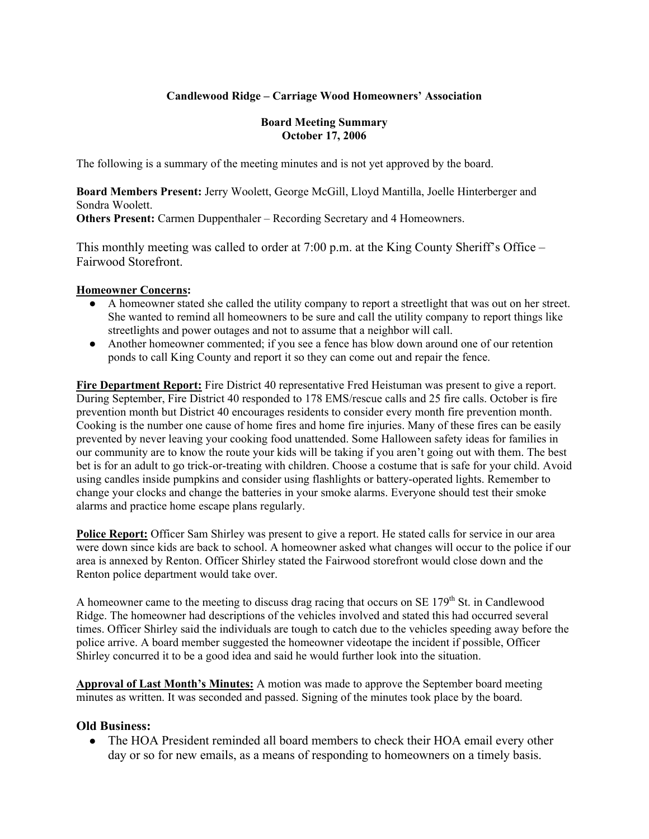## **Candlewood Ridge – Carriage Wood Homeowners' Association**

#### **Board Meeting Summary October 17, 2006**

The following is a summary of the meeting minutes and is not yet approved by the board.

**Board Members Present:** Jerry Woolett, George McGill, Lloyd Mantilla, Joelle Hinterberger and Sondra Woolett.

**Others Present:** Carmen Duppenthaler – Recording Secretary and 4 Homeowners.

This monthly meeting was called to order at 7:00 p.m. at the King County Sheriff's Office – Fairwood Storefront.

### **Homeowner Concerns:**

- A homeowner stated she called the utility company to report a streetlight that was out on her street. She wanted to remind all homeowners to be sure and call the utility company to report things like streetlights and power outages and not to assume that a neighbor will call.
- Another homeowner commented; if you see a fence has blow down around one of our retention ponds to call King County and report it so they can come out and repair the fence.

**Fire Department Report:** Fire District 40 representative Fred Heistuman was present to give a report. During September, Fire District 40 responded to 178 EMS/rescue calls and 25 fire calls. October is fire prevention month but District 40 encourages residents to consider every month fire prevention month. Cooking is the number one cause of home fires and home fire injuries. Many of these fires can be easily prevented by never leaving your cooking food unattended. Some Halloween safety ideas for families in our community are to know the route your kids will be taking if you aren't going out with them. The best bet is for an adult to go trick-or-treating with children. Choose a costume that is safe for your child. Avoid using candles inside pumpkins and consider using flashlights or battery-operated lights. Remember to change your clocks and change the batteries in your smoke alarms. Everyone should test their smoke alarms and practice home escape plans regularly.

**Police Report:** Officer Sam Shirley was present to give a report. He stated calls for service in our area were down since kids are back to school. A homeowner asked what changes will occur to the police if our area is annexed by Renton. Officer Shirley stated the Fairwood storefront would close down and the Renton police department would take over.

A homeowner came to the meeting to discuss drag racing that occurs on SE 179<sup>th</sup> St. in Candlewood Ridge. The homeowner had descriptions of the vehicles involved and stated this had occurred several times. Officer Shirley said the individuals are tough to catch due to the vehicles speeding away before the police arrive. A board member suggested the homeowner videotape the incident if possible, Officer Shirley concurred it to be a good idea and said he would further look into the situation.

**Approval of Last Month's Minutes:** A motion was made to approve the September board meeting minutes as written. It was seconded and passed. Signing of the minutes took place by the board.

### **Old Business:**

• The HOA President reminded all board members to check their HOA email every other day or so for new emails, as a means of responding to homeowners on a timely basis.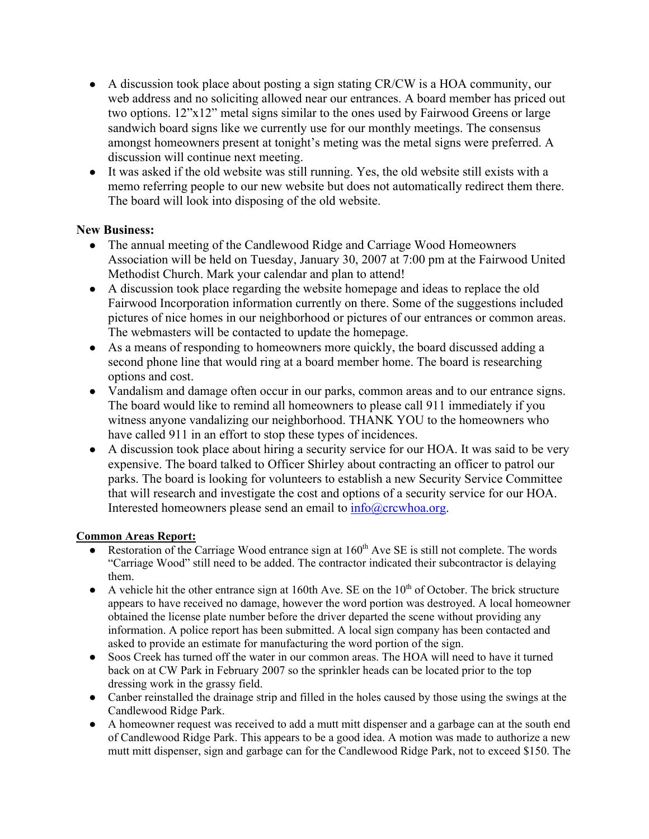- A discussion took place about posting a sign stating CR/CW is a HOA community, our web address and no soliciting allowed near our entrances. A board member has priced out two options. 12"x12" metal signs similar to the ones used by Fairwood Greens or large sandwich board signs like we currently use for our monthly meetings. The consensus amongst homeowners present at tonight's meting was the metal signs were preferred. A discussion will continue next meeting.
- It was asked if the old website was still running. Yes, the old website still exists with a memo referring people to our new website but does not automatically redirect them there. The board will look into disposing of the old website.

## **New Business:**

- The annual meeting of the Candlewood Ridge and Carriage Wood Homeowners Association will be held on Tuesday, January 30, 2007 at 7:00 pm at the Fairwood United Methodist Church. Mark your calendar and plan to attend!
- A discussion took place regarding the website homepage and ideas to replace the old Fairwood Incorporation information currently on there. Some of the suggestions included pictures of nice homes in our neighborhood or pictures of our entrances or common areas. The webmasters will be contacted to update the homepage.
- As a means of responding to homeowners more quickly, the board discussed adding a second phone line that would ring at a board member home. The board is researching options and cost.
- Vandalism and damage often occur in our parks, common areas and to our entrance signs. The board would like to remind all homeowners to please call 911 immediately if you witness anyone vandalizing our neighborhood. THANK YOU to the homeowners who have called 911 in an effort to stop these types of incidences.
- A discussion took place about hiring a security service for our HOA. It was said to be very expensive. The board talked to Officer Shirley about contracting an officer to patrol our parks. The board is looking for volunteers to establish a new Security Service Committee that will research and investigate the cost and options of a security service for our HOA. Interested homeowners please send an email to  $info@crcwhoa.org$ .

# **Common Areas Report:**

- $\bullet$  Restoration of the Carriage Wood entrance sign at 160<sup>th</sup> Ave SE is still not complete. The words "Carriage Wood" still need to be added. The contractor indicated their subcontractor is delaying them.
- $\bullet$  A vehicle hit the other entrance sign at 160th Ave. SE on the 10<sup>th</sup> of October. The brick structure appears to have received no damage, however the word portion was destroyed. A local homeowner obtained the license plate number before the driver departed the scene without providing any information. A police report has been submitted. A local sign company has been contacted and asked to provide an estimate for manufacturing the word portion of the sign.
- Soos Creek has turned off the water in our common areas. The HOA will need to have it turned back on at CW Park in February 2007 so the sprinkler heads can be located prior to the top dressing work in the grassy field.
- Canber reinstalled the drainage strip and filled in the holes caused by those using the swings at the Candlewood Ridge Park.
- A homeowner request was received to add a mutt mitt dispenser and a garbage can at the south end of Candlewood Ridge Park. This appears to be a good idea. A motion was made to authorize a new mutt mitt dispenser, sign and garbage can for the Candlewood Ridge Park, not to exceed \$150. The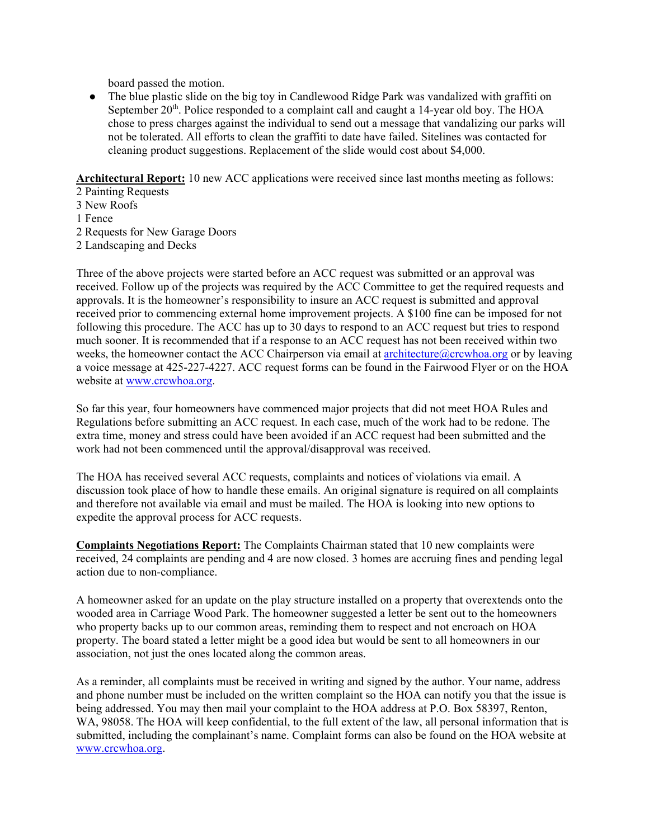board passed the motion.

• The blue plastic slide on the big toy in Candlewood Ridge Park was vandalized with graffiti on September  $20<sup>th</sup>$ . Police responded to a complaint call and caught a 14-year old boy. The HOA chose to press charges against the individual to send out a message that vandalizing our parks will not be tolerated. All efforts to clean the graffiti to date have failed. Sitelines was contacted for cleaning product suggestions. Replacement of the slide would cost about \$4,000.

**Architectural Report:** 10 new ACC applications were received since last months meeting as follows:

2 Painting Requests

- 3 New Roofs
- 1 Fence
- 2 Requests for New Garage Doors
- 2 Landscaping and Decks

Three of the above projects were started before an ACC request was submitted or an approval was received. Follow up of the projects was required by the ACC Committee to get the required requests and approvals. It is the homeowner's responsibility to insure an ACC request is submitted and approval received prior to commencing external home improvement projects. A \$100 fine can be imposed for not following this procedure. The ACC has up to 30 days to respond to an ACC request but tries to respond much sooner. It is recommended that if a response to an ACC request has not been received within two weeks, the homeowner contact the ACC Chairperson via email at architecture@crcwhoa.org or by leaving a voice message at 425-227-4227. ACC request forms can be found in the Fairwood Flyer or on the HOA website at www.crcwhoa.org.

So far this year, four homeowners have commenced major projects that did not meet HOA Rules and Regulations before submitting an ACC request. In each case, much of the work had to be redone. The extra time, money and stress could have been avoided if an ACC request had been submitted and the work had not been commenced until the approval/disapproval was received.

The HOA has received several ACC requests, complaints and notices of violations via email. A discussion took place of how to handle these emails. An original signature is required on all complaints and therefore not available via email and must be mailed. The HOA is looking into new options to expedite the approval process for ACC requests.

**Complaints Negotiations Report:** The Complaints Chairman stated that 10 new complaints were received, 24 complaints are pending and 4 are now closed. 3 homes are accruing fines and pending legal action due to non-compliance.

A homeowner asked for an update on the play structure installed on a property that overextends onto the wooded area in Carriage Wood Park. The homeowner suggested a letter be sent out to the homeowners who property backs up to our common areas, reminding them to respect and not encroach on HOA property. The board stated a letter might be a good idea but would be sent to all homeowners in our association, not just the ones located along the common areas.

As a reminder, all complaints must be received in writing and signed by the author. Your name, address and phone number must be included on the written complaint so the HOA can notify you that the issue is being addressed. You may then mail your complaint to the HOA address at P.O. Box 58397, Renton, WA, 98058. The HOA will keep confidential, to the full extent of the law, all personal information that is submitted, including the complainant's name. Complaint forms can also be found on the HOA website at www.crcwhoa.org.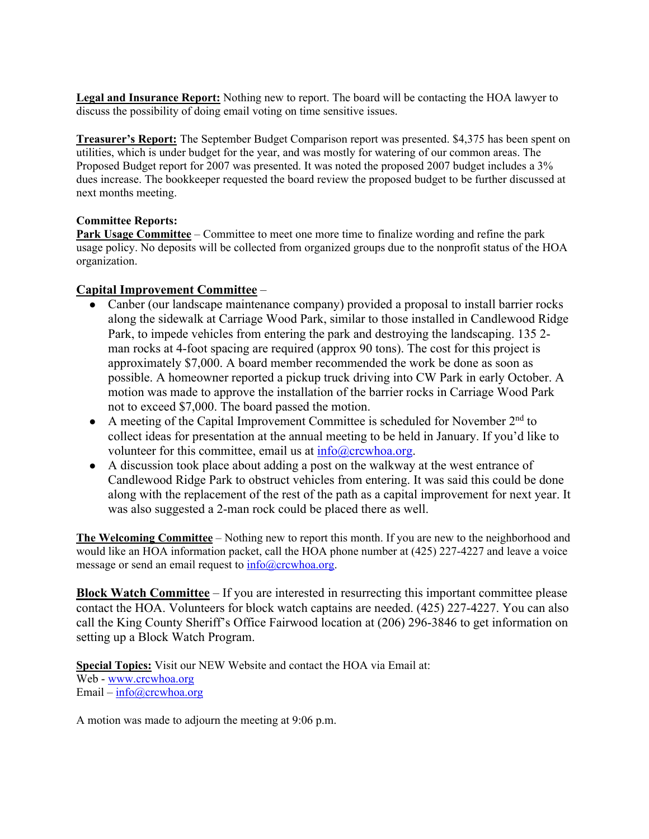**Legal and Insurance Report:** Nothing new to report. The board will be contacting the HOA lawyer to discuss the possibility of doing email voting on time sensitive issues.

**Treasurer's Report:** The September Budget Comparison report was presented. \$4,375 has been spent on utilities, which is under budget for the year, and was mostly for watering of our common areas. The Proposed Budget report for 2007 was presented. It was noted the proposed 2007 budget includes a 3% dues increase. The bookkeeper requested the board review the proposed budget to be further discussed at next months meeting.

### **Committee Reports:**

**Park Usage Committee** – Committee to meet one more time to finalize wording and refine the park usage policy. No deposits will be collected from organized groups due to the nonprofit status of the HOA organization.

### **Capital Improvement Committee** –

- Canber (our landscape maintenance company) provided a proposal to install barrier rocks along the sidewalk at Carriage Wood Park, similar to those installed in Candlewood Ridge Park, to impede vehicles from entering the park and destroying the landscaping. 135 2 man rocks at 4-foot spacing are required (approx 90 tons). The cost for this project is approximately \$7,000. A board member recommended the work be done as soon as possible. A homeowner reported a pickup truck driving into CW Park in early October. A motion was made to approve the installation of the barrier rocks in Carriage Wood Park not to exceed \$7,000. The board passed the motion.
- A meeting of the Capital Improvement Committee is scheduled for November  $2<sup>nd</sup>$  to collect ideas for presentation at the annual meeting to be held in January. If you'd like to volunteer for this committee, email us at  $info@crcwhoa.org$ .
- A discussion took place about adding a post on the walkway at the west entrance of Candlewood Ridge Park to obstruct vehicles from entering. It was said this could be done along with the replacement of the rest of the path as a capital improvement for next year. It was also suggested a 2-man rock could be placed there as well.

**The Welcoming Committee** – Nothing new to report this month. If you are new to the neighborhood and would like an HOA information packet, call the HOA phone number at (425) 227-4227 and leave a voice message or send an email request to  $info@crcwhoa.org$ .

**Block Watch Committee** – If you are interested in resurrecting this important committee please contact the HOA. Volunteers for block watch captains are needed. (425) 227-4227. You can also call the King County Sheriff's Office Fairwood location at (206) 296-3846 to get information on setting up a Block Watch Program.

**Special Topics:** Visit our NEW Website and contact the HOA via Email at: Web - <u>www.crcwhoa.org</u> Email –  $info@crcwhoa.org$ 

A motion was made to adjourn the meeting at 9:06 p.m.